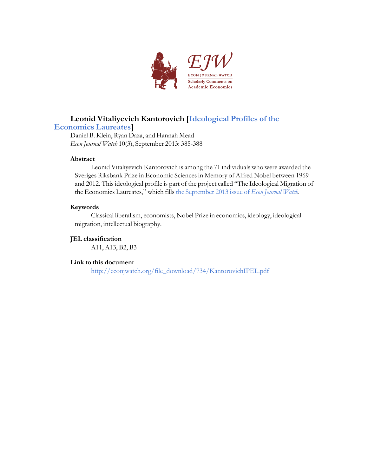

# **Leonid Vitaliyevich Kantorovich [[Ideological](http://econjwatch.org/articles/ideological-profiles-of-the-economics-laureates) Profiles of the**

### **[Economics](http://econjwatch.org/articles/ideological-profiles-of-the-economics-laureates) Laureates]**

Daniel B. Klein, Ryan Daza, and Hannah Mead *Econ Journal Watch* 10(3), September 2013: 385-388

#### **Abstract**

Leonid Vitaliyevich Kantorovich is among the 71 individuals who were awarded the Sveriges Riksbank Prize in Economic Sciences in Memory of Alfred Nobel between 1969 and 2012. This ideological profile is part of the project called "The Ideological Migration of the Economics Laureates," which fills the [September](http://econjwatch.org/issues/volume-10-issue-3-september-2013) 2013 issue of *Econ Journal Watch*.

#### **Keywords**

Classical liberalism, economists, Nobel Prize in economics, ideology, ideological migration, intellectual biography.

#### **JEL classification**

A11, A13, B2, B3

#### **Link to this document**

[http://econjwatch.org/file\\_download/734/KantorovichIPEL.pdf](http://econjwatch.org/file_download/734/KantorovichIPEL.pdf)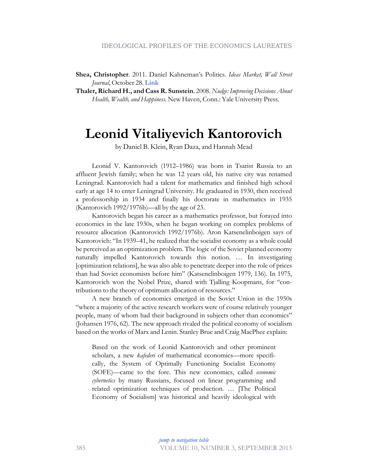**Shea, Christopher**. 2011. Daniel Kahneman's Politics. *Ideas Market, Wall Street Journal*, October 28. **[Link](http://blogs.wsj.com/ideas-market/2011/10/28/daniel-kahnemans-politics/)**

**Thaler, Richard H., and Cass R. Sunstein**. 2008. *Nudge: Improving Decisions About Health, Wealth, and Happiness*. New Haven, Conn.: Yale University Press.

### **Leonid Vitaliyevich Kantorovich**

by Daniel B. Klein, Ryan Daza, and Hannah Mead

Leonid V. Kantorovich (1912–1986) was born in Tsarist Russia to an affluent Jewish family; when he was 12 years old, his native city was renamed Leningrad. Kantorovich had a talent for mathematics and finished high school early at age 14 to enter Leningrad University. He graduated in 1930, then received a professorship in 1934 and finally his doctorate in mathematics in 1935 (Kantorovich 1992/1976b)—all by the age of 23.

Kantorovich began his career as a mathematics professor, but forayed into economics in the late 1930s, when he began working on complex problems of resource allocation (Kantorovich 1992/1976b). Aron Katsenelinboigen says of Kantorovich: "In 1939–41, he realized that the socialist economy as a whole could be perceived as an optimization problem. The logic of the Soviet planned economy naturally impelled Kantorovich towards this notion. … In investigating [optimization relations], he was also able to penetrate deeper into the role of prices than had Soviet economists before him" (Katsenelinboigen 1979, 136). In 1975, Kantorovich won the Nobel Prize, shared with Tjalling Koopmans, for "contributions to the theory of optimum allocation of resources."

A new branch of economics emerged in the Soviet Union in the 1950s "where a majority of the active research workers were of course relatively younger people, many of whom had their background in subjects other than economics" (Johansen 1976, 62). The new approach rivaled the political economy of socialism based on the works of Marx and Lenin. Stanley Brue and Craig MacPhee explain:

Based on the work of Leonid Kantorovich and other prominent scholars, a new *kafederi* of mathematical economics—more specifically, the System of Optimally Functioning Socialist Economy (SOFE)—came to the fore. This new economics, called *economic cybernetics* by many Russians, focused on linear programming and related optimization techniques of production. … [The Political Economy of Socialism] was historical and heavily ideological with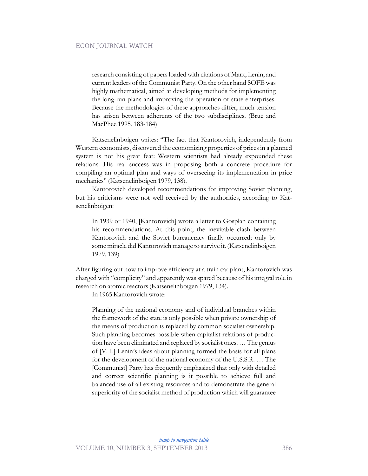research consisting of papers loaded with citations of Marx, Lenin, and current leaders of the Communist Party. On the other hand SOFE was highly mathematical, aimed at developing methods for implementing the long-run plans and improving the operation of state enterprises. Because the methodologies of these approaches differ, much tension has arisen between adherents of the two subdisciplines. (Brue and MacPhee 1995, 183-184)

Katsenelinboigen writes: "The fact that Kantorovich, independently from Western economists, discovered the economizing properties of prices in a planned system is not his great feat: Western scientists had already expounded these relations. His real success was in proposing both a concrete procedure for compiling an optimal plan and ways of overseeing its implementation in price mechanics" (Katsenelinboigen 1979, 138).

Kantorovich developed recommendations for improving Soviet planning, but his criticisms were not well received by the authorities, according to Katsenelinboigen:

In 1939 or 1940, [Kantorovich] wrote a letter to Gosplan containing his recommendations. At this point, the inevitable clash between Kantorovich and the Soviet bureaucracy finally occurred; only by some miracle did Kantorovich manage to survive it. (Katsenelinboigen 1979, 139)

After figuring out how to improve efficiency at a train car plant, Kantorovich was charged with "complicity" and apparently was spared because of his integral role in research on atomic reactors (Katsenelinboigen 1979, 134).

In 1965 Kantorovich wrote:

Planning of the national economy and of individual branches within the framework of the state is only possible when private ownership of the means of production is replaced by common socialist ownership. Such planning becomes possible when capitalist relations of production have been eliminated and replaced by socialist ones. … The genius of [V. I.] Lenin's ideas about planning formed the basis for all plans for the development of the national economy of the U.S.S.R. … The [Communist] Party has frequently emphasized that only with detailed and correct scientific planning is it possible to achieve full and balanced use of all existing resources and to demonstrate the general superiority of the socialist method of production which will guarantee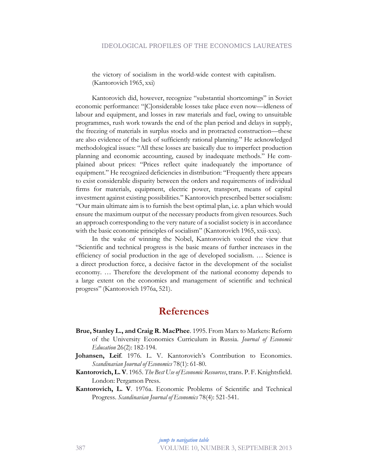the victory of socialism in the world-wide contest with capitalism. (Kantorovich 1965, xxi)

Kantorovich did, however, recognize "substantial shortcomings" in Soviet economic performance: "[C]onsiderable losses take place even now—idleness of labour and equipment, and losses in raw materials and fuel, owing to unsuitable programmes, rush work towards the end of the plan period and delays in supply, the freezing of materials in surplus stocks and in protracted construction—these are also evidence of the lack of sufficiently rational planning." He acknowledged methodological issues: "All these losses are basically due to imperfect production planning and economic accounting, caused by inadequate methods." He complained about prices: "Prices reflect quite inadequately the importance of equipment." He recognized deficiencies in distribution: "Frequently there appears to exist considerable disparity between the orders and requirements of individual firms for materials, equipment, electric power, transport, means of capital investment against existing possibilities." Kantorovich prescribed better socialism: "Our main ultimate aim is to furnish the best optimal plan, i.e. a plan which would ensure the maximum output of the necessary products from given resources. Such an approach corresponding to the very nature of a socialist society is in accordance with the basic economic principles of socialism" (Kantorovich 1965, xxii-xxx).

In the wake of winning the Nobel, Kantorovich voiced the view that "Scientific and technical progress is the basic means of further increases in the efficiency of social production in the age of developed socialism. … Science is a direct production force, a decisive factor in the development of the socialist economy. … Therefore the development of the national economy depends to a large extent on the economics and management of scientific and technical progress" (Kantorovich 1976a, 521).

### **References**

- **Brue, Stanley L., and Craig R. MacPhee**. 1995. From Marx to Markets: Reform of the University Economics Curriculum in Russia. *Journal of Economic Education* 26(2): 182-194.
- **Johansen, Leif**. 1976. L. V. Kantorovich's Contribution to Economics. *Scandinavian Journal of Economics* 78(1): 61-80.
- **Kantorovich, L. V**. 1965. *The Best Use of Economic Resources*, trans. P. F. Knightsfield. London: Pergamon Press.
- **Kantorovich, L. V**. 1976a. Economic Problems of Scientific and Technical Progress. *Scandinavian Journal of Economics* 78(4): 521-541.